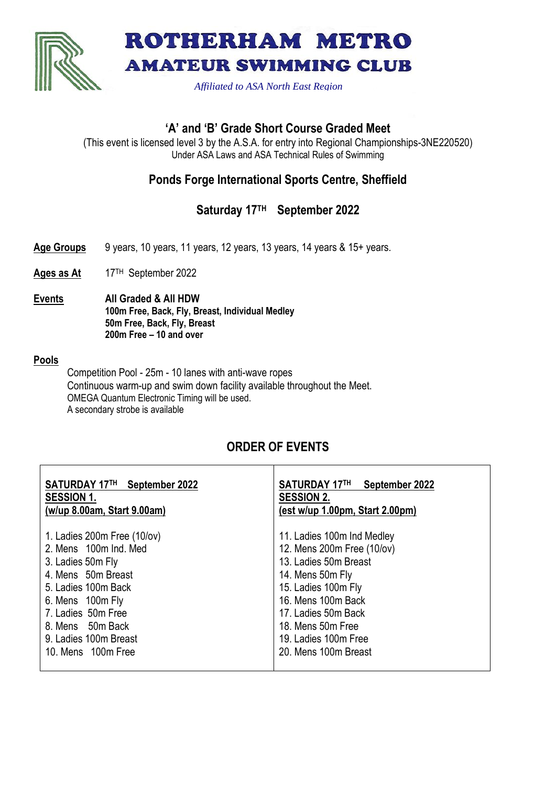



*Affiliated to ASA North East Region*

### **'A' and 'B' Grade Short Course Graded Meet**

(This event is licensed level 3 by the A.S.A. for entry into Regional Championships-3NE220520) Under ASA Laws and ASA Technical Rules of Swimming

# **Ponds Forge International Sports Centre, Sheffield**

# **Saturday 17 TH September 2022**

- **Age Groups** 9 years, 10 years, 11 years, 12 years, 13 years, 14 years & 15+ years.
- Ages as At 17<sup>TH</sup> September 2022
- **Events All Graded & All HDW 100m Free, Back, Fly, Breast, Individual Medley 50m Free, Back, Fly, Breast 200m Free – 10 and over**

#### **Pools**

Competition Pool - 25m - 10 lanes with anti-wave ropes Continuous warm-up and swim down facility available throughout the Meet. OMEGA Quantum Electronic Timing will be used. A secondary strobe is available

## **ORDER OF EVENTS**

| <b>SESSION 1.</b><br>(w/up 8.00am, Start 9.00am)                                                                                                                                                                                                                                                                                                                                                                                                                                         | <b>SATURDAY 17TH</b><br>September 2022<br><b>SESSION 2.</b><br>(est w/up 1.00pm, Start 2.00pm) |  |  |  |  |  |
|------------------------------------------------------------------------------------------------------------------------------------------------------------------------------------------------------------------------------------------------------------------------------------------------------------------------------------------------------------------------------------------------------------------------------------------------------------------------------------------|------------------------------------------------------------------------------------------------|--|--|--|--|--|
| 1. Ladies $200m$ Free $(10/v)$<br>11. Ladies 100m Ind Medley<br>12. Mens 200m Free (10/ov)<br>2. Mens 100m Ind. Med<br>13. Ladies 50m Breast<br>3. Ladies 50m Fly<br>4. Mens 50m Breast<br>14. Mens 50m Fly<br>15. Ladies 100m Fly<br>5. Ladies 100m Back<br>16. Mens 100m Back<br>6. Mens 100m Fly<br>7. Ladies 50m Free<br>17. Ladies 50m Back<br>8. Mens 50m Back<br>18. Mens 50m Free<br>19. Ladies 100m Free<br>9. Ladies 100m Breast<br>20. Mens 100m Breast<br>10. Mens 100m Free |                                                                                                |  |  |  |  |  |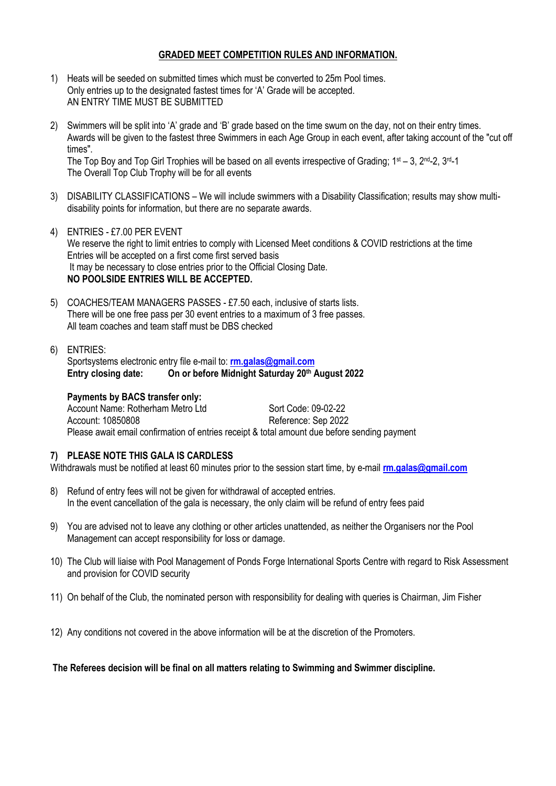#### **GRADED MEET COMPETITION RULES AND INFORMATION.**

- 1) Heats will be seeded on submitted times which must be converted to 25m Pool times. Only entries up to the designated fastest times for 'A' Grade will be accepted. AN ENTRY TIME MUST BE SUBMITTED
- 2) Swimmers will be split into 'A' grade and 'B' grade based on the time swum on the day, not on their entry times. Awards will be given to the fastest three Swimmers in each Age Group in each event, after taking account of the "cut off times". The Top Boy and Top Girl Trophies will be based on all events irrespective of Grading:  $1st - 3$ ,  $2nd - 2$ ,  $3nd - 1$

The Overall Top Club Trophy will be for all events

- 3) DISABILITY CLASSIFICATIONS We will include swimmers with a Disability Classification; results may show multidisability points for information, but there are no separate awards.
- 4) ENTRIES £7.00 PER EVENT We reserve the right to limit entries to comply with Licensed Meet conditions & COVID restrictions at the time Entries will be accepted on a first come first served basis It may be necessary to close entries prior to the Official Closing Date. **NO POOLSIDE ENTRIES WILL BE ACCEPTED.**
- 5) COACHES/TEAM MANAGERS PASSES £7.50 each, inclusive of starts lists. There will be one free pass per 30 event entries to a maximum of 3 free passes. All team coaches and team staff must be DBS checked
- 6) ENTRIES:

Sportsystems electronic entry file e-mail to: **[rm.galas@gmail.com](mailto:rm.galas@gmail.com) Entry closing date: On or before Midnight Saturday 20 th August 2022**

#### **Payments by BACS transfer only:**

Account Name: Rotherham Metro Ltd Sort Code: 09-02-22 Account: 10850808 Reference: Sep 2022 Please await email confirmation of entries receipt & total amount due before sending payment

#### **7) PLEASE NOTE THIS GALA IS CARDLESS**

Withdrawals must be notified at least 60 minutes prior to the session start time, by e-mail **[rm.galas@gmail.com](mailto:rm.galas@gmail.com)**

- 8) Refund of entry fees will not be given for withdrawal of accepted entries. In the event cancellation of the gala is necessary, the only claim will be refund of entry fees paid
- 9) You are advised not to leave any clothing or other articles unattended, as neither the Organisers nor the Pool Management can accept responsibility for loss or damage.
- 10) The Club will liaise with Pool Management of Ponds Forge International Sports Centre with regard to Risk Assessment and provision for COVID security
- 11) On behalf of the Club, the nominated person with responsibility for dealing with queries is Chairman, Jim Fisher
- 12) Any conditions not covered in the above information will be at the discretion of the Promoters.

#### **The Referees decision will be final on all matters relating to Swimming and Swimmer discipline.**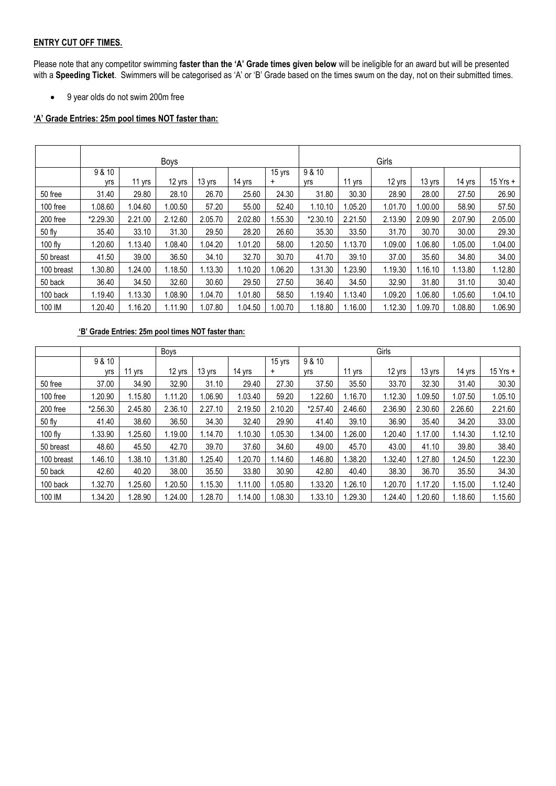#### **ENTRY CUT OFF TIMES.**

Please note that any competitor swimming **faster than the 'A' Grade times given below** will be ineligible for an award but will be presented with a **Speeding Ticket**. Swimmers will be categorised as 'A' or 'B' Grade based on the times swum on the day, not on their submitted times.

• 9 year olds do not swim 200m free

### **'A' Grade Entries: 25m pool times NOT faster than:**

|            | <b>Boys</b>   |         |         |         |         |                     | Girls         |         |         |         |         |          |
|------------|---------------|---------|---------|---------|---------|---------------------|---------------|---------|---------|---------|---------|----------|
|            | 9 & 10<br>yrs | 11 yrs  | 12 yrs  | 13 yrs  | 14 yrs  | 15 yrs<br>$\ddot{}$ | 9 & 10<br>yrs | 11 yrs  | 12 yrs  | 13 yrs  | 14 yrs  | 15 Yrs + |
| 50 free    | 31.40         | 29.80   | 28.10   | 26.70   | 25.60   | 24.30               | 31.80         | 30.30   | 28.90   | 28.00   | 27.50   | 26.90    |
| 100 free   | 1.08.60       | 1.04.60 | 1.00.50 | 57.20   | 55.00   | 52.40               | 1.10.10       | 1.05.20 | 1.01.70 | 1.00.00 | 58.90   | 57.50    |
| 200 free   | *2.29.30      | 2.21.00 | 2.12.60 | 2.05.70 | 2.02.80 | .55.30              | *2.30.10      | 2.21.50 | 2.13.90 | 2.09.90 | 2.07.90 | 2.05.00  |
| 50 fly     | 35.40         | 33.10   | 31.30   | 29.50   | 28.20   | 26.60               | 35.30         | 33.50   | 31.70   | 30.70   | 30.00   | 29.30    |
| $100$ fly  | 1.20.60       | 1.13.40 | 1.08.40 | 1.04.20 | 1.01.20 | 58.00               | 1.20.50       | 1.13.70 | 1.09.00 | 1.06.80 | 1.05.00 | 1.04.00  |
| 50 breast  | 41.50         | 39.00   | 36.50   | 34.10   | 32.70   | 30.70               | 41.70         | 39.10   | 37.00   | 35.60   | 34.80   | 34.00    |
| 100 breast | 1.30.80       | .24.00  | 1.18.50 | 1.13.30 | 1.10.20 | 06.20               | 1.31.30       | 1.23.90 | 1.19.30 | 1.16.10 | 1.13.80 | 1.12.80  |
| 50 back    | 36.40         | 34.50   | 32.60   | 30.60   | 29.50   | 27.50               | 36.40         | 34.50   | 32.90   | 31.80   | 31.10   | 30.40    |
| 100 back   | 1.19.40       | 1.13.30 | 1.08.90 | 1.04.70 | 1.01.80 | 58.50               | 1.19.40       | 1.13.40 | 1.09.20 | 1.06.80 | 1.05.60 | 1.04.10  |
| 100 IM     | 1.20.40       | .16.20  | 1.11.90 | 1.07.80 | 1.04.50 | 1.00.70             | 1.18.80       | 1.16.00 | 1.12.30 | 1.09.70 | 1.08.80 | 1.06.90  |

#### **'B' Grade Entries: 25m pool times NOT faster than:**

|            | Boys     |         |         |         |         | Girls     |          |         |         |         |         |          |
|------------|----------|---------|---------|---------|---------|-----------|----------|---------|---------|---------|---------|----------|
|            | 9 & 10   |         |         |         |         | 15 yrs    | 9 & 10   |         |         |         |         |          |
|            | yrs      | yrs     | 12 yrs  | 13 yrs  | 14 yrs  | $\ddot{}$ | yrs      | 11 yrs  | 12 yrs  | 13 yrs  | 14 yrs  | 15 Yrs + |
| 50 free    | 37.00    | 34.90   | 32.90   | 31.10   | 29.40   | 27.30     | 37.50    | 35.50   | 33.70   | 32.30   | 31.40   | 30.30    |
| 100 free   | 1.20.90  | 1.15.80 | 1.11.20 | 1.06.90 | 1.03.40 | 59.20     | 1.22.60  | 1.16.70 | 1.12.30 | 1.09.50 | 1.07.50 | 1.05.10  |
| 200 free   | *2.56.30 | 2.45.80 | 2.36.10 | 2.27.10 | 2.19.50 | 2.10.20   | *2.57.40 | 2.46.60 | 2.36.90 | 2.30.60 | 2.26.60 | 2.21.60  |
| 50 fly     | 41.40    | 38.60   | 36.50   | 34.30   | 32.40   | 29.90     | 41.40    | 39.10   | 36.90   | 35.40   | 34.20   | 33.00    |
| 100 fly    | 1.33.90  | 1.25.60 | 1.19.00 | 1.14.70 | 1.10.30 | 1.05.30   | 1.34.00  | 1.26.00 | 1.20.40 | 1.17.00 | 1.14.30 | 1.12.10  |
| 50 breast  | 48.60    | 45.50   | 42.70   | 39.70   | 37.60   | 34.60     | 49.00    | 45.70   | 43.00   | 41.10   | 39.80   | 38.40    |
| 100 breast | 1.46.10  | .38.10  | 1.31.80 | 1.25.40 | .20.70  | 1.14.60   | 1.46.80  | .38.20  | 1.32.40 | 1.27.80 | 1.24.50 | 1.22.30  |
| 50 back    | 42.60    | 40.20   | 38.00   | 35.50   | 33.80   | 30.90     | 42.80    | 40.40   | 38.30   | 36.70   | 35.50   | 34.30    |
| 100 back   | 1.32.70  | 1.25.60 | .20.50  | 1.15.30 | .11.00  | 1.05.80   | 1.33.20  | 1.26.10 | 1.20.70 | 1.17.20 | 1.15.00 | 1.12.40  |
| 100 IM     | 1.34.20  | .28.90  | .24.00  | 1.28.70 | .14.00  | 1.08.30   | 1.33.10  | .29.30  | 1.24.40 | .20.60  | 1.18.60 | 1.15.60  |